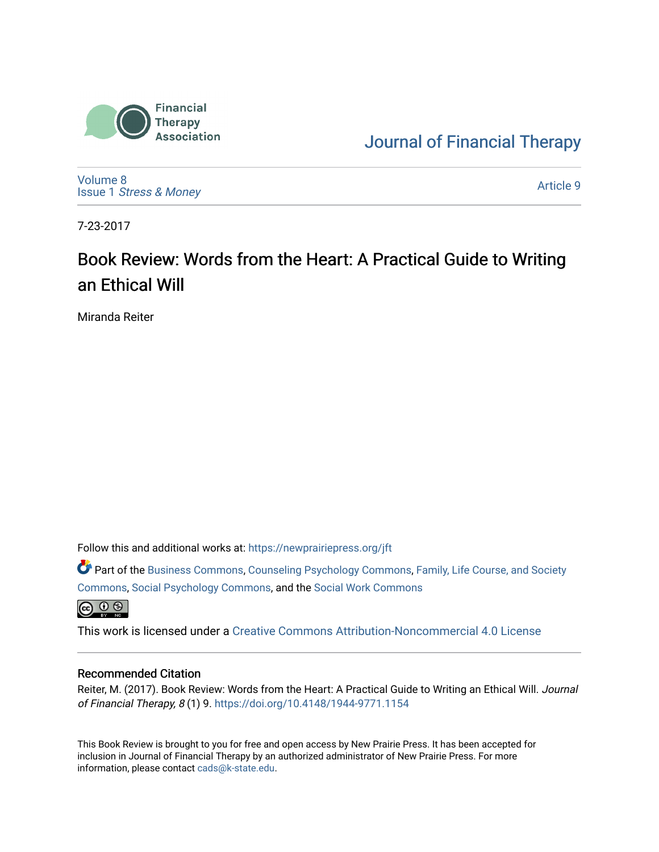

[Journal of Financial Therapy](https://newprairiepress.org/jft) 

[Volume 8](https://newprairiepress.org/jft/vol8) Issue 1 [Stress & Money](https://newprairiepress.org/jft/vol8/iss1) 

[Article 9](https://newprairiepress.org/jft/vol8/iss1/9) 

7-23-2017

# Book Review: Words from the Heart: A Practical Guide to Writing an Ethical Will

Miranda Reiter

Follow this and additional works at: [https://newprairiepress.org/jft](https://newprairiepress.org/jft?utm_source=newprairiepress.org%2Fjft%2Fvol8%2Fiss1%2F9&utm_medium=PDF&utm_campaign=PDFCoverPages)

Part of the [Business Commons](http://network.bepress.com/hgg/discipline/622?utm_source=newprairiepress.org%2Fjft%2Fvol8%2Fiss1%2F9&utm_medium=PDF&utm_campaign=PDFCoverPages), [Counseling Psychology Commons,](http://network.bepress.com/hgg/discipline/1044?utm_source=newprairiepress.org%2Fjft%2Fvol8%2Fiss1%2F9&utm_medium=PDF&utm_campaign=PDFCoverPages) [Family, Life Course, and Society](http://network.bepress.com/hgg/discipline/419?utm_source=newprairiepress.org%2Fjft%2Fvol8%2Fiss1%2F9&utm_medium=PDF&utm_campaign=PDFCoverPages)  [Commons](http://network.bepress.com/hgg/discipline/419?utm_source=newprairiepress.org%2Fjft%2Fvol8%2Fiss1%2F9&utm_medium=PDF&utm_campaign=PDFCoverPages), [Social Psychology Commons,](http://network.bepress.com/hgg/discipline/414?utm_source=newprairiepress.org%2Fjft%2Fvol8%2Fiss1%2F9&utm_medium=PDF&utm_campaign=PDFCoverPages) and the [Social Work Commons](http://network.bepress.com/hgg/discipline/713?utm_source=newprairiepress.org%2Fjft%2Fvol8%2Fiss1%2F9&utm_medium=PDF&utm_campaign=PDFCoverPages)   $\bigoplus$   $\bigoplus$   $\bigoplus$ 

This work is licensed under a [Creative Commons Attribution-Noncommercial 4.0 License](https://creativecommons.org/licenses/by-nc/4.0/)

#### Recommended Citation

Reiter, M. (2017). Book Review: Words from the Heart: A Practical Guide to Writing an Ethical Will. Journal of Financial Therapy, 8 (1) 9.<https://doi.org/10.4148/1944-9771.1154>

This Book Review is brought to you for free and open access by New Prairie Press. It has been accepted for inclusion in Journal of Financial Therapy by an authorized administrator of New Prairie Press. For more information, please contact [cads@k-state.edu](mailto:cads@k-state.edu).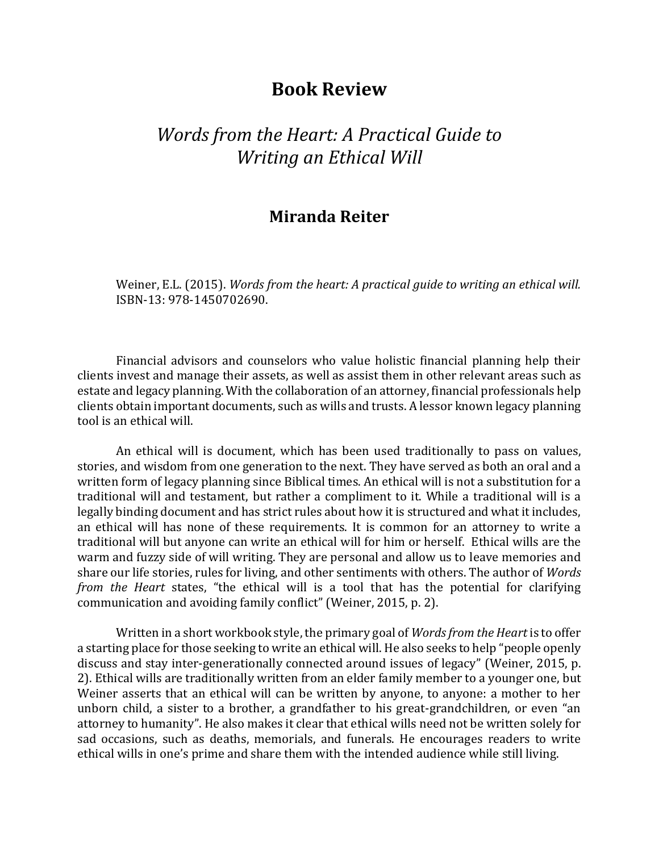### **Book Review**

## *Words from the Heart: A Practical Guide to Writing an Ethical Will*

#### **Miranda Reiter**

Weiner, E.L. (2015). *Words from the heart: A practical guide to writing an ethical will.*  ISBN-13: 978-1450702690.

Financial advisors and counselors who value holistic financial planning help their clients invest and manage their assets, as well as assist them in other relevant areas such as estate and legacy planning. With the collaboration of an attorney, financial professionals help clients obtain important documents, such as wills and trusts. A lessor known legacy planning tool is an ethical will.

An ethical will is document, which has been used traditionally to pass on values, stories, and wisdom from one generation to the next. They have served as both an oral and a written form of legacy planning since Biblical times. An ethical will is not a substitution for a traditional will and testament, but rather a compliment to it. While a traditional will is a legally binding document and has strict rules about how it is structured and what it includes, an ethical will has none of these requirements. It is common for an attorney to write a traditional will but anyone can write an ethical will for him or herself. Ethical wills are the warm and fuzzy side of will writing. They are personal and allow us to leave memories and share our life stories, rules for living, and other sentiments with others. The author of *Words from the Heart* states, "the ethical will is a tool that has the potential for clarifying communication and avoiding family conflict" (Weiner, 2015, p. 2).

Written in a short workbook style, the primary goal of *Words from the Heart* is to offer a starting place for those seeking to write an ethical will. He also seeks to help "people openly discuss and stay inter-generationally connected around issues of legacy" (Weiner, 2015, p. 2). Ethical wills are traditionally written from an elder family member to a younger one, but Weiner asserts that an ethical will can be written by anyone, to anyone: a mother to her unborn child, a sister to a brother, a grandfather to his great-grandchildren, or even "an attorney to humanity". He also makes it clear that ethical wills need not be written solely for sad occasions, such as deaths, memorials, and funerals. He encourages readers to write ethical wills in one's prime and share them with the intended audience while still living.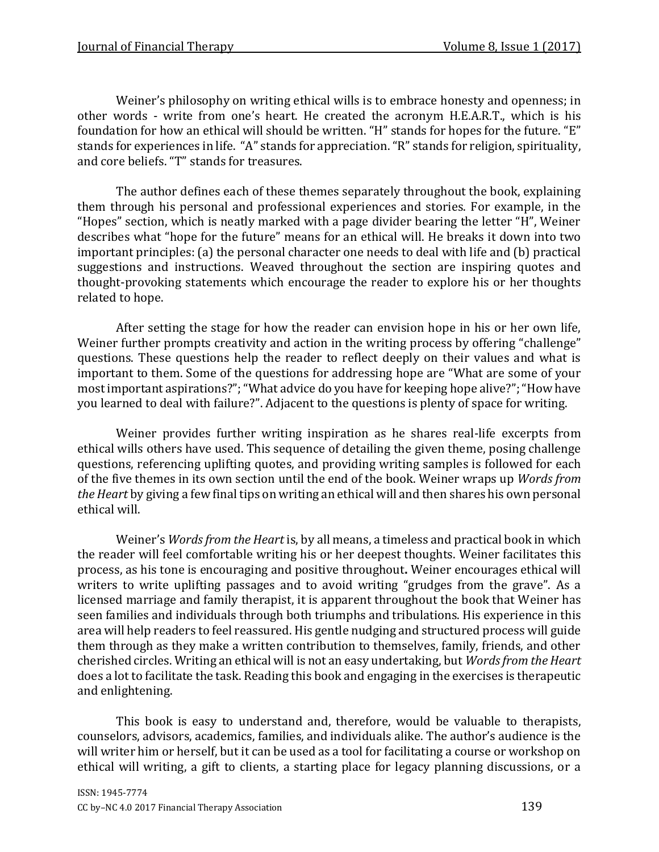Weiner's philosophy on writing ethical wills is to embrace honesty and openness; in other words - write from one's heart. He created the acronym H.E.A.R.T., which is his foundation for how an ethical will should be written. "H" stands for hopes for the future. "E" stands for experiences in life. "A" stands for appreciation. "R" stands for religion, spirituality, and core beliefs. "T" stands for treasures.

The author defines each of these themes separately throughout the book, explaining them through his personal and professional experiences and stories. For example, in the "Hopes" section, which is neatly marked with a page divider bearing the letter "H", Weiner describes what "hope for the future" means for an ethical will. He breaks it down into two important principles: (a) the personal character one needs to deal with life and (b) practical suggestions and instructions. Weaved throughout the section are inspiring quotes and thought-provoking statements which encourage the reader to explore his or her thoughts related to hope.

After setting the stage for how the reader can envision hope in his or her own life, Weiner further prompts creativity and action in the writing process by offering "challenge" questions. These questions help the reader to reflect deeply on their values and what is important to them. Some of the questions for addressing hope are "What are some of your most important aspirations?";"What advice do you have for keeping hope alive?";"How have you learned to deal with failure?". Adjacent to the questions is plenty of space for writing.

Weiner provides further writing inspiration as he shares real-life excerpts from ethical wills others have used. This sequence of detailing the given theme, posing challenge questions, referencing uplifting quotes, and providing writing samples is followed for each of the five themes in its own section until the end of the book. Weiner wraps up *Words from the Heart* by giving a few final tips on writing an ethical will and then shares his own personal ethical will.

Weiner's *Words from the Heart* is, by all means, a timeless and practical book in which the reader will feel comfortable writing his or her deepest thoughts. Weiner facilitates this process, as his tone is encouraging and positive throughout**.** Weiner encourages ethical will writers to write uplifting passages and to avoid writing "grudges from the grave". As a licensed marriage and family therapist, it is apparent throughout the book that Weiner has seen families and individuals through both triumphs and tribulations. His experience in this area will help readers to feel reassured. His gentle nudging and structured process will guide them through as they make a written contribution to themselves, family, friends, and other cherished circles. Writing an ethical will is not an easy undertaking, but *Words from the Heart*  does a lot to facilitate the task. Reading this book and engaging in the exercises is therapeutic and enlightening.

This book is easy to understand and, therefore, would be valuable to therapists, counselors, advisors, academics, families, and individuals alike. The author's audience is the will writer him or herself, but it can be used as a tool for facilitating a course or workshop on ethical will writing, a gift to clients, a starting place for legacy planning discussions, or a